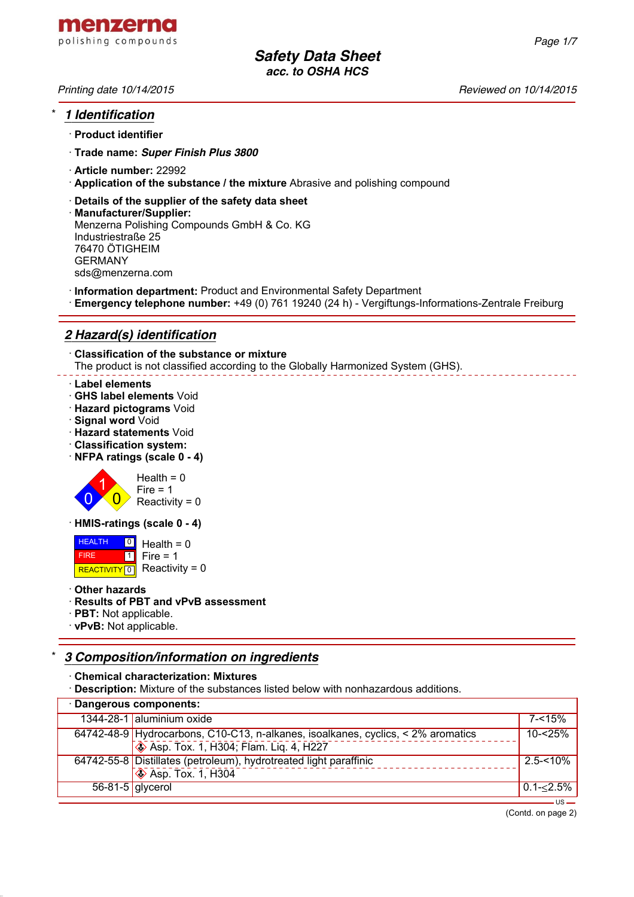

- · **Product identifier**
- · **Trade name:** *Super Finish Plus 3800*
- · **Article number:** 22992
- · **Application of the substance / the mixture** Abrasive and polishing compound
- · **Details of the supplier of the safety data sheet**
- · **Manufacturer/Supplier:** Menzerna Polishing Compounds GmbH & Co. KG Industriestraße 25 76470 ÖTIGHEIM GERMANY sds@menzerna.com
- · **Information department:** Product and Environmental Safety Department
- · **Emergency telephone number:** +49 (0) 761 19240 (24 h) Vergiftungs-Informations-Zentrale Freiburg

# *2 Hazard(s) identification*

· **Classification of the substance or mixture** The product is not classified according to the Globally Harmonized System (GHS).

## · **Label elements**

- · **GHS label elements** Void
- · **Hazard pictograms** Void
- · **Signal word** Void
- · **Hazard statements** Void
- · **Classification system:**
- · **NFPA ratings (scale 0 4)**



· **HMIS-ratings (scale 0 - 4)**

 HEALTH FIRE REACTIVITY  $\boxed{0}$  Reactivity = 0 <u>이</u> Health = 0  $\overline{\mathbf{1}}$  $Fire = 1$ 

· **Other hazards**

# · **Results of PBT and vPvB assessment**

- · **PBT:** Not applicable.
- · **vPvB:** Not applicable.

# \* *3 Composition/information on ingredients*

· **Chemical characterization: Mixtures**

· **Description:** Mixture of the substances listed below with nonhazardous additions.

| · Dangerous components: |                                                                                  |                   |  |  |
|-------------------------|----------------------------------------------------------------------------------|-------------------|--|--|
|                         | 1344-28-1 aluminium oxide                                                        | $7 - 15%$         |  |  |
|                         | 64742-48-9 Hydrocarbons, C10-C13, n-alkanes, isoalkanes, cyclics, < 2% aromatics | $10 - 25%$        |  |  |
|                         | <b>Solution</b> Asp. Tox. 1, H304; Flam. Lig. 4, H227                            |                   |  |  |
|                         | 64742-55-8 Distillates (petroleum), hydrotreated light paraffinic                | $2.5 - 10\%$      |  |  |
|                         | $\sqrt{\phantom{a}}$ Asp. Tox. 1, H304                                           |                   |  |  |
| $56-81-5$ glycerol      |                                                                                  | $0.1 - \le 2.5\%$ |  |  |
|                         |                                                                                  |                   |  |  |

(Contd. on page 2)

*Printing date 10/14/2015 Reviewed on 10/14/2015*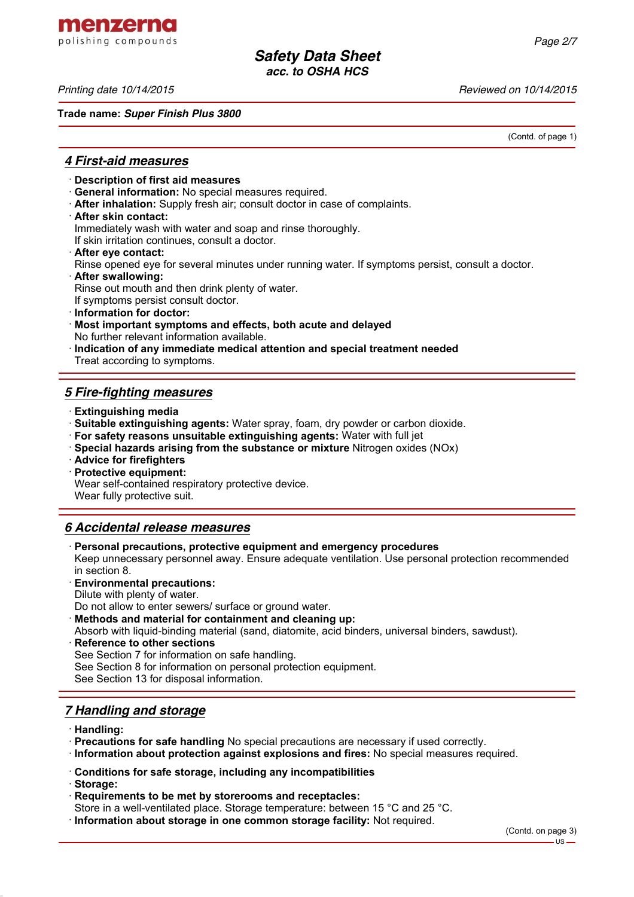menzerna polishing compounds

*Printing date 10/14/2015 Reviewed on 10/14/2015*

**Trade name:** *Super Finish Plus 3800*

(Contd. of page 1)

# *4 First-aid measures*

- · **Description of first aid measures**
- · **General information:** No special measures required.
- · **After inhalation:** Supply fresh air; consult doctor in case of complaints.
- · **After skin contact:**

Immediately wash with water and soap and rinse thoroughly.

If skin irritation continues, consult a doctor.

- · **After eye contact:**
- Rinse opened eye for several minutes under running water. If symptoms persist, consult a doctor.
- · **After swallowing:**

Rinse out mouth and then drink plenty of water.

If symptoms persist consult doctor.

- · **Information for doctor:**
- · **Most important symptoms and effects, both acute and delayed** No further relevant information available.
- · **Indication of any immediate medical attention and special treatment needed** Treat according to symptoms.

# *5 Fire-fighting measures*

- · **Extinguishing media**
- · **Suitable extinguishing agents:** Water spray, foam, dry powder or carbon dioxide.
- · **For safety reasons unsuitable extinguishing agents:** Water with full jet
- · **Special hazards arising from the substance or mixture** Nitrogen oxides (NOx)
- · **Advice for firefighters**
- · **Protective equipment:**

Wear self-contained respiratory protective device.

Wear fully protective suit.

# *6 Accidental release measures*

· **Personal precautions, protective equipment and emergency procedures**

Keep unnecessary personnel away. Ensure adequate ventilation. Use personal protection recommended in section 8.

- · **Environmental precautions:**
- Dilute with plenty of water.

Do not allow to enter sewers/ surface or ground water.

- · **Methods and material for containment and cleaning up:**
- Absorb with liquid-binding material (sand, diatomite, acid binders, universal binders, sawdust).
- **Reference to other sections** See Section 7 for information on safe handling. See Section 8 for information on personal protection equipment. See Section 13 for disposal information.

# *7 Handling and storage*

- · **Handling:**
- · **Precautions for safe handling** No special precautions are necessary if used correctly.
- · **Information about protection against explosions and fires:** No special measures required.
- · **Conditions for safe storage, including any incompatibilities**
- · **Storage:**
- · **Requirements to be met by storerooms and receptacles:**
- Store in a well-ventilated place. Storage temperature: between 15 °C and 25 °C.
- · **Information about storage in one common storage facility:** Not required.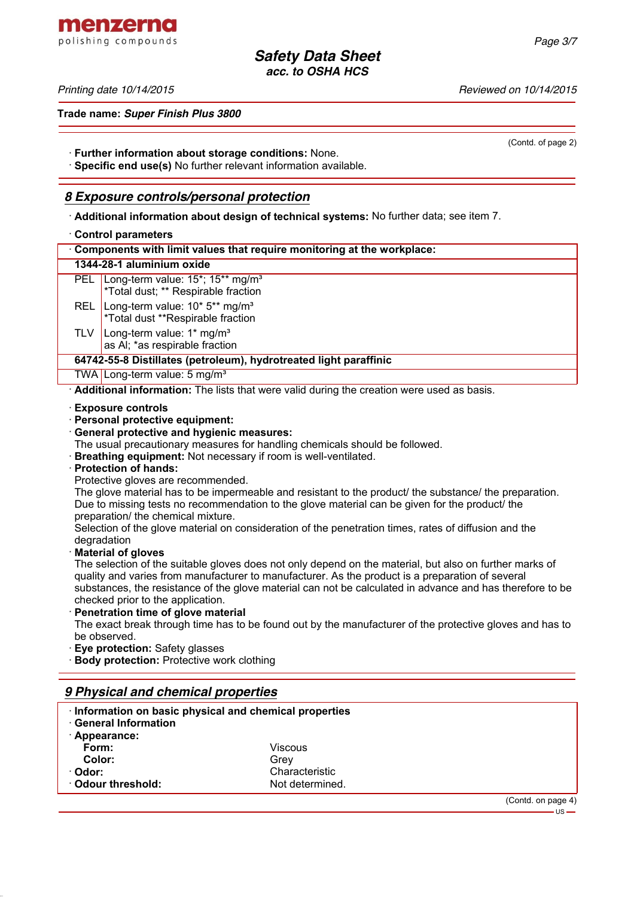menzerna polishing compounds

*Printing date 10/14/2015 Reviewed on 10/14/2015*

**Trade name:** *Super Finish Plus 3800*

· **Further information about storage conditions:** None.

· **Specific end use(s)** No further relevant information available.

# *8 Exposure controls/personal protection*

· **Additional information about design of technical systems:** No further data; see item 7.

# · **Control parameters**

| <b>UUIIIUI PALAILICICI S</b>                                                                                        |  |  |  |
|---------------------------------------------------------------------------------------------------------------------|--|--|--|
| Components with limit values that require monitoring at the workplace:                                              |  |  |  |
| 1344-28-1 aluminium oxide                                                                                           |  |  |  |
| Long-term value: 15 <sup>*</sup> ; 15 <sup>**</sup> mg/m <sup>3</sup><br>PEL<br>*Total dust; ** Respirable fraction |  |  |  |
| Long-term value: 10* 5** mg/m <sup>3</sup><br><b>REL</b><br>*Total dust **Respirable fraction                       |  |  |  |
| Long-term value: 1* mg/m <sup>3</sup><br>TLV<br>as AI; *as respirable fraction                                      |  |  |  |
| 64742-55-8 Distillates (petroleum), hydrotreated light paraffinic                                                   |  |  |  |
| TWA Long-term value: 5 mg/m <sup>3</sup>                                                                            |  |  |  |
| Additional information: The lists that were valid during the creation were used as basis.                           |  |  |  |
| Fwaasusa sandusla                                                                                                   |  |  |  |

· **Exposure controls**

· **Personal protective equipment:**

## · **General protective and hygienic measures:**

The usual precautionary measures for handling chemicals should be followed.

· **Breathing equipment:** Not necessary if room is well-ventilated.

## · **Protection of hands:**

Protective gloves are recommended.

The glove material has to be impermeable and resistant to the product/ the substance/ the preparation. Due to missing tests no recommendation to the glove material can be given for the product/ the preparation/ the chemical mixture.

Selection of the glove material on consideration of the penetration times, rates of diffusion and the degradation

## · **Material of gloves**

The selection of the suitable gloves does not only depend on the material, but also on further marks of quality and varies from manufacturer to manufacturer. As the product is a preparation of several substances, the resistance of the glove material can not be calculated in advance and has therefore to be checked prior to the application.

· **Penetration time of glove material**

The exact break through time has to be found out by the manufacturer of the protective gloves and has to be observed.

- **Eve protection: Safety glasses**
- **Body protection:** Protective work clothing

# *9 Physical and chemical properties*

| Information on basic physical and chemical properties |                 |                    |
|-------------------------------------------------------|-----------------|--------------------|
| <b>General Information</b>                            |                 |                    |
| · Appearance:                                         |                 |                    |
| Form:                                                 | Viscous         |                    |
| Color:                                                | Grev            |                    |
| · Odor:                                               | Characteristic  |                    |
| $\cdot$ Odour threshold:                              | Not determined. |                    |
|                                                       |                 | (Contd. on page 4) |

(Contd. of page 2)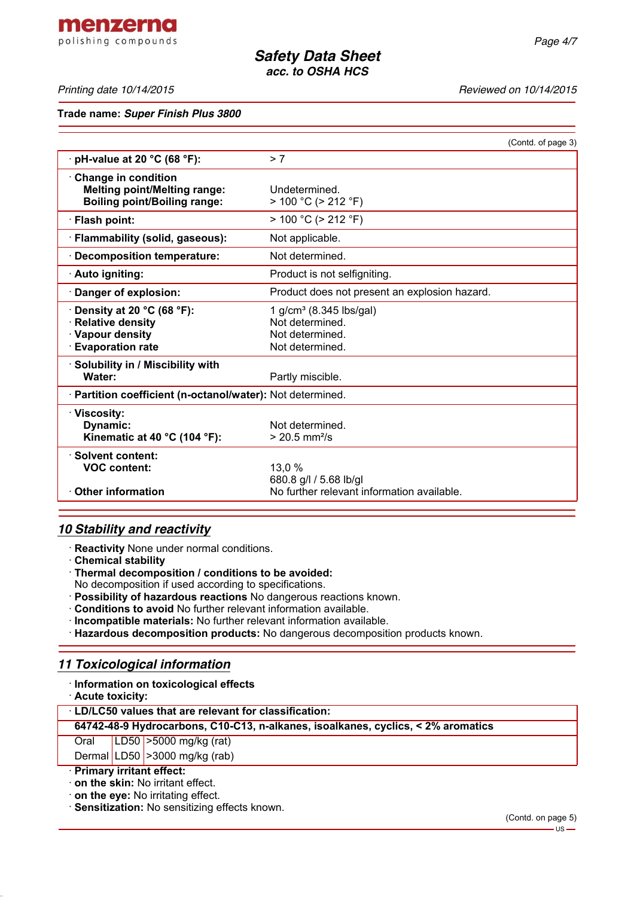menzerna polishing compounds

*Printing date 10/14/2015 Reviewed on 10/14/2015*

**Trade name:** *Super Finish Plus 3800*

|                                                                                                        | (Contd. of page 3)                                                                           |  |  |  |
|--------------------------------------------------------------------------------------------------------|----------------------------------------------------------------------------------------------|--|--|--|
| $\cdot$ pH-value at 20 °C (68 °F):                                                                     | > 7                                                                                          |  |  |  |
| Change in condition<br><b>Melting point/Melting range:</b><br><b>Boiling point/Boiling range:</b>      | Undetermined.<br>$> 100 °C$ ( $> 212 °F$ )                                                   |  |  |  |
| · Flash point:                                                                                         | $> 100 °C$ ( $> 212 °F$ )                                                                    |  |  |  |
| · Flammability (solid, gaseous):                                                                       | Not applicable.                                                                              |  |  |  |
| Decomposition temperature:                                                                             | Not determined.                                                                              |  |  |  |
| · Auto igniting:                                                                                       | Product is not selfigniting.                                                                 |  |  |  |
| · Danger of explosion:                                                                                 | Product does not present an explosion hazard.                                                |  |  |  |
| $\cdot$ Density at 20 °C (68 °F):<br>· Relative density<br>· Vapour density<br><b>Evaporation rate</b> | 1 g/cm <sup>3</sup> (8.345 lbs/gal)<br>Not determined.<br>Not determined.<br>Not determined. |  |  |  |
| · Solubility in / Miscibility with<br>Water:                                                           | Partly miscible.                                                                             |  |  |  |
| · Partition coefficient (n-octanol/water): Not determined.                                             |                                                                                              |  |  |  |
| · Viscosity:<br>Dynamic:<br>Kinematic at 40 °C (104 °F):                                               | Not determined.<br>$> 20.5$ mm <sup>2</sup> /s                                               |  |  |  |
| · Solvent content:<br><b>VOC content:</b><br><b>Other information</b>                                  | 13,0 %<br>680.8 g/l / 5.68 lb/gl<br>No further relevant information available.               |  |  |  |
|                                                                                                        |                                                                                              |  |  |  |

# *10 Stability and reactivity*

· **Reactivity** None under normal conditions.

· **Chemical stability**

· **Thermal decomposition / conditions to be avoided:**

No decomposition if used according to specifications.

- · **Possibility of hazardous reactions** No dangerous reactions known.
- · **Conditions to avoid** No further relevant information available.
- · **Incompatible materials:** No further relevant information available.
- · **Hazardous decomposition products:** No dangerous decomposition products known.

# *11 Toxicological information*

· **Information on toxicological effects**

· **Acute toxicity:**

· **LD/LC50 values that are relevant for classification:**

**64742-48-9 Hydrocarbons, C10-C13, n-alkanes, isoalkanes, cyclics, < 2% aromatics**

Oral LD50 >5000 mg/kg (rat)

Dermal LD50  $|$  > 3000 mg/kg (rab)

## · **Primary irritant effect:**

· **on the skin:** No irritant effect.

· **on the eye:** No irritating effect.

· **Sensitization:** No sensitizing effects known.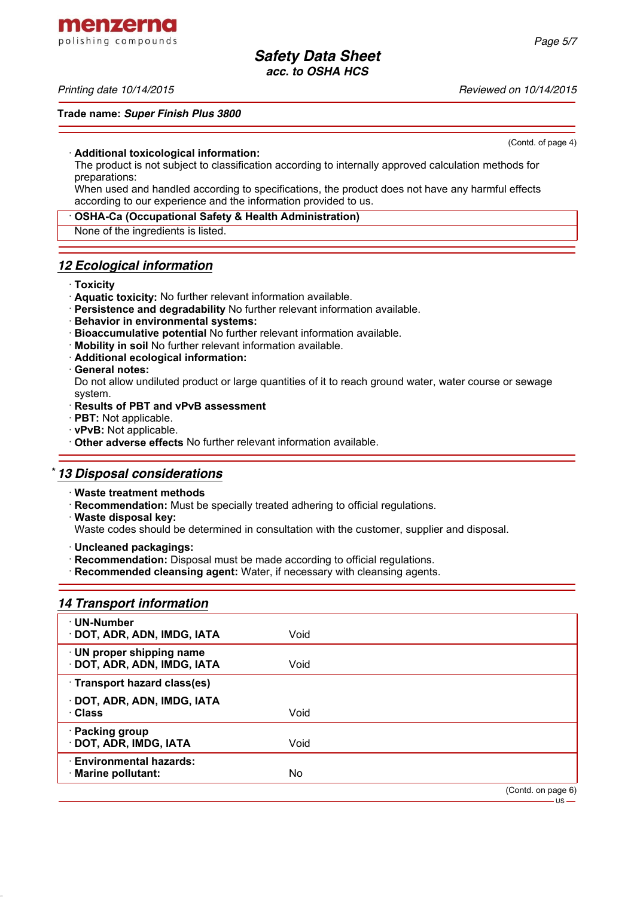menzerna polishing compounds

## *Printing date 10/14/2015 Reviewed on 10/14/2015*

## **Trade name:** *Super Finish Plus 3800*

(Contd. of page 4)

## · **Additional toxicological information:**

The product is not subject to classification according to internally approved calculation methods for preparations:

When used and handled according to specifications, the product does not have any harmful effects according to our experience and the information provided to us.

## · **OSHA-Ca (Occupational Safety & Health Administration)**

None of the ingredients is listed.

## *12 Ecological information*

## · **Toxicity**

- · **Aquatic toxicity:** No further relevant information available.
- · **Persistence and degradability** No further relevant information available.
- · **Behavior in environmental systems:**
- · **Bioaccumulative potential** No further relevant information available.
- · **Mobility in soil** No further relevant information available.
- · **Additional ecological information:**
- · **General notes:**

Do not allow undiluted product or large quantities of it to reach ground water, water course or sewage system.

## · **Results of PBT and vPvB assessment**

- · **PBT:** Not applicable.
- · **vPvB:** Not applicable.
- · **Other adverse effects** No further relevant information available.

# \* *13 Disposal considerations*

- · **Waste treatment methods**
- · **Recommendation:** Must be specially treated adhering to official regulations.
- · **Waste disposal key:**

Waste codes should be determined in consultation with the customer, supplier and disposal.

- · **Uncleaned packagings:**
- · **Recommendation:** Disposal must be made according to official regulations.
- · **Recommended cleansing agent:** Water, if necessary with cleansing agents.

# *14 Transport information*

| · UN-Number<br>· DOT, ADR, ADN, IMDG, IATA             | Void |                    |
|--------------------------------------------------------|------|--------------------|
| · UN proper shipping name<br>DOT, ADR, ADN, IMDG, IATA | Void |                    |
| · Transport hazard class(es)                           |      |                    |
| DOT, ADR, ADN, IMDG, IATA<br>· Class                   | Void |                    |
| · Packing group<br>· DOT, ADR, IMDG, IATA              | Void |                    |
| <b>Environmental hazards:</b><br>· Marine pollutant:   | No   |                    |
|                                                        |      | (Contd. on page 6) |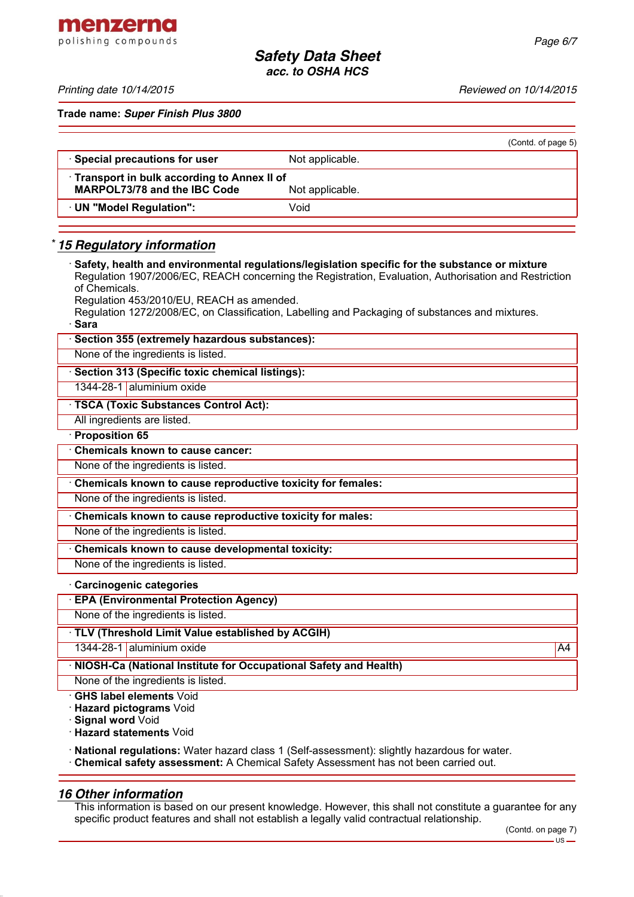menzerna polishing compounds

*Printing date 10/14/2015 Reviewed on 10/14/2015*

**Trade name:** *Super Finish Plus 3800*

|                                                                                     |                 | (Contd. of page 5) |
|-------------------------------------------------------------------------------------|-----------------|--------------------|
| · Special precautions for user                                                      | Not applicable. |                    |
| • Transport in bulk according to Annex II of<br><b>MARPOL73/78 and the IBC Code</b> | Not applicable. |                    |
| UN "Model Regulation":                                                              | Void            |                    |
|                                                                                     |                 |                    |

# \* *15 Regulatory information*

· **Safety, health and environmental regulations/legislation specific for the substance or mixture** Regulation 1907/2006/EC, REACH concerning the Registration, Evaluation, Authorisation and Restriction of Chemicals. Regulation 453/2010/EU, REACH as amended. Regulation 1272/2008/EC, on Classification, Labelling and Packaging of substances and mixtures. · **Sara** Section 355 (extremely hazardous substances): None of the ingredients is listed. · **Section 313 (Specific toxic chemical listings):** 1344-28-1 aluminium oxide · **TSCA (Toxic Substances Control Act):** All ingredients are listed. · **Proposition 65** · **Chemicals known to cause cancer:** None of the ingredients is listed. · **Chemicals known to cause reproductive toxicity for females:** None of the ingredients is listed. · **Chemicals known to cause reproductive toxicity for males:** None of the ingredients is listed. · **Chemicals known to cause developmental toxicity:** None of the ingredients is listed. · **Carcinogenic categories** · **EPA (Environmental Protection Agency)** None of the ingredients is listed.

· **TLV (Threshold Limit Value established by ACGIH)**

1344-28-1 aluminium oxide A4 and the A4 and the A4 and the A4 and the A4 and the A4 and the A4 and the A4 and the A4

· **NIOSH-Ca (National Institute for Occupational Safety and Health)**

None of the ingredients is listed.

· **GHS label elements** Void

· **Hazard pictograms** Void

· **Signal word** Void

· **Hazard statements** Void

· **National regulations:** Water hazard class 1 (Self-assessment): slightly hazardous for water.

· **Chemical safety assessment:** A Chemical Safety Assessment has not been carried out.

# *16 Other information*

This information is based on our present knowledge. However, this shall not constitute a guarantee for any specific product features and shall not establish a legally valid contractual relationship.